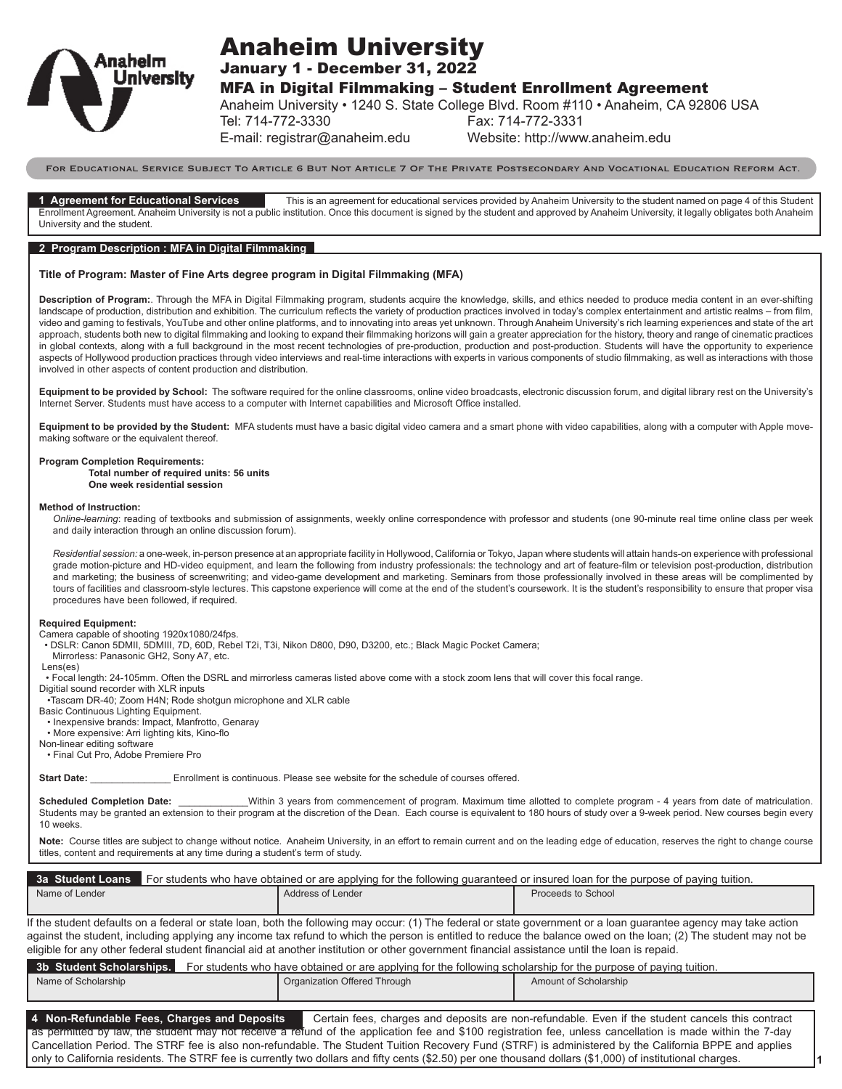

# Anaheim University

January 1 - December 31, 2022

MFA in Digital Filmmaking – Student Enrollment Agreement

Anaheim University • 1240 S. State College Blvd. Room #110 • Anaheim, CA 92806 USA

Tel: 714-772-3330 Fax: 714-772-3331

E-mail: registrar@anaheim.edu Website: http://www.anaheim.edu

For Educational Service Subject To Article 6 But Not Article 7 Of The Private Postsecondary And Vocational Education Reform Act.

**1 Agreement for Educational Services** This is an agreement for educational services provided by Anaheim University to the student named on page 4 of this Student Enrollment Agreement. Anaheim University is not a public institution. Once this document is signed by the student and approved by Anaheim University, it legally obligates both Anaheim University and the student.

# **2 Program Description : MFA in Digital Filmmaking**

# **Title of Program: Master of Fine Arts degree program in Digital Filmmaking (MFA)**

**Description of Program:**. Through the MFA in Digital Filmmaking program, students acquire the knowledge, skills, and ethics needed to produce media content in an ever-shifting landscape of production, distribution and exhibition. The curriculum reflects the variety of production practices involved in today's complex entertainment and artistic realms - from film, video and gaming to festivals, YouTube and other online platforms, and to innovating into areas yet unknown. Through Anaheim University's rich learning experiences and state of the art approach, students both new to digital filmmaking and looking to expand their filmmaking horizons will gain a greater appreciation for the history, theory and range of cinematic practices in global contexts, along with a full background in the most recent technologies of pre-production, production and post-production. Students will have the opportunity to experience aspects of Hollywood production practices through video interviews and real-time interactions with experts in various components of studio filmmaking, as well as interactions with those involved in other aspects of content production and distribution.

**Equipment to be provided by School:** The software required for the online classrooms, online video broadcasts, electronic discussion forum, and digital library rest on the University's Internet Server. Students must have access to a computer with Internet capabilities and Microsoft Office installed.

Equipment to be provided by the Student: MFA students must have a basic digital video camera and a smart phone with video capabilities, along with a computer with Apple movemaking software or the equivalent thereof.

### **Program Completion Requirements:**

**Total number of required units: 56 units One week residential session**

#### **Method of Instruction:**

*Online-learning*: reading of textbooks and submission of assignments, weekly online correspondence with professor and students (one 90-minute real time online class per week and daily interaction through an online discussion forum).

*Residential session:* a one-week, in-person presence at an appropriate facility in Hollywood, California or Tokyo, Japan where students will attain hands-on experience with professional grade motion-picture and HD-video equipment, and learn the following from industry professionals: the technology and art of feature-film or television post-production, distribution and marketing; the business of screenwriting; and video-game development and marketing. Seminars from those professionally involved in these areas will be complimented by tours of facilities and classroom-style lectures. This capstone experience will come at the end of the student's coursework. It is the student's responsibility to ensure that proper visa procedures have been followed, if required.

#### **Required Equipment:**

Camera capable of shooting 1920x1080/24fps.

• DSLR: Canon 5DMII, 5DMIII, 7D, 60D, Rebel T2i, T3i, Nikon D800, D90, D3200, etc.; Black Magic Pocket Camera;

Mirrorless: Panasonic GH2, Sony A7, etc.

Lens(es)

• Focal length: 24-105mm. Often the DSRL and mirrorless cameras listed above come with a stock zoom lens that will cover this focal range.

Digitial sound recorder with XLR inputs

•Tascam DR-40; Zoom H4N; Rode shotgun microphone and XLR cable

Basic Continuous Lighting Equipment. • Inexpensive brands: Impact, Manfrotto, Genaray

• More expensive: Arri lighting kits, Kino-flo

Non-linear editing software

• Final Cut Pro, Adobe Premiere Pro

**Start Date: Enrollment is continuous. Please see website for the schedule of courses offered.** 

Scheduled Completion Date: \_\_\_\_\_\_\_\_\_\_\_\_Within 3 years from commencement of program. Maximum time allotted to complete program - 4 years from date of matriculation. Students may be granted an extension to their program at the discretion of the Dean. Each course is equivalent to 180 hours of study over a 9-week period. New courses begin every 10 weeks.

Note: Course titles are subject to change without notice. Anaheim University, in an effort to remain current and on the leading edge of education, reserves the right to change course titles, content and requirements at any time during a student's term of study.

|                | 3a Student Loans For students who have obtained or are applying for the following quaranteed or insured loan for the purpose of paying tuition. |                    |  |  |
|----------------|-------------------------------------------------------------------------------------------------------------------------------------------------|--------------------|--|--|
| Name of Lender | Address of Lender                                                                                                                               | Proceeds to School |  |  |

If the student defaults on a federal or state loan, both the following may occur: (1) The federal or state government or a loan guarantee agency may take action against the student, including applying any income tax refund to which the person is entitled to reduce the balance owed on the loan; (2) The student may not be eligible for any other federal student financial aid at another institution or other government financial assistance until the loan is repaid.

**3b Student Scholarships.** For students who have obtained or are applying for the following scholarship for the purpose of paying tuition.

| Name of Scholarship | Organization Offered Through | Amount of Scholarship |
|---------------------|------------------------------|-----------------------|
|                     |                              |                       |

**4 Non-Refundable Fees, Charges and Deposits** Certain fees, charges and deposits are non-refundable. Even if the student cancels this contract as permitted by law, the student may not receive a refund of the application fee and \$100 registration fee, unless cancellation is made within the 7-day Cancellation Period. The STRF fee is also non-refundable. The Student Tuition Recovery Fund (STRF) is administered by the California BPPE and applies only to California residents. The STRF fee is currently two dollars and fifty cents (\$2.50) per one thousand dollars (\$1,000) of institutional charges.

**1**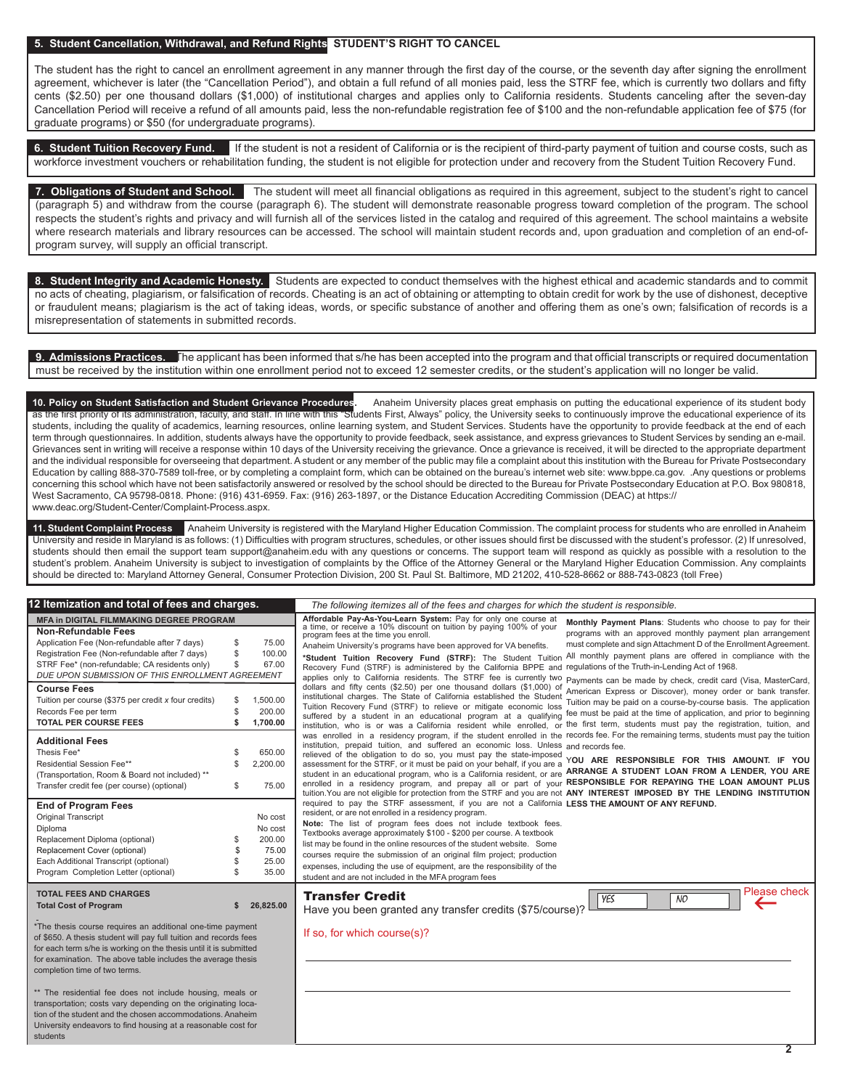## **5. Student Cancellation, Withdrawal, and Refund Rights STUDENT'S RIGHT TO CANCEL**

The student has the right to cancel an enrollment agreement in any manner through the first day of the course, or the seventh day after signing the enrollment agreement, whichever is later (the "Cancellation Period"), and obtain a full refund of all monies paid, less the STRF fee, which is currently two dollars and fifty cents (\$2.50) per one thousand dollars (\$1,000) of institutional charges and applies only to California residents. Students canceling after the seven-day Cancellation Period will receive a refund of all amounts paid, less the non-refundable registration fee of \$100 and the non-refundable application fee of \$75 (for graduate programs) or \$50 (for undergraduate programs).

**6. Student Tuition Recovery Fund.** If the student is not a resident of California or is the recipient of third-party payment of tuition and course costs, such as workforce investment vouchers or rehabilitation funding, the student is not eligible for protection under and recovery from the Student Tuition Recovery Fund.

**7. Obligations of Student and School.** The student will meet all financial obligations as required in this agreement, subject to the student's right to cancel (paragraph 5) and withdraw from the course (paragraph 6). The student will demonstrate reasonable progress toward completion of the program. The school respects the student's rights and privacy and will furnish all of the services listed in the catalog and required of this agreement. The school maintains a website where research materials and library resources can be accessed. The school will maintain student records and, upon graduation and completion of an end-ofprogram survey, will supply an official transcript.

**8. Student Integrity and Academic Honesty.** Students are expected to conduct themselves with the highest ethical and academic standards and to commit no acts of cheating, plagiarism, or falsification of records. Cheating is an act of obtaining or attempting to obtain credit for work by the use of dishonest, deceptive or fraudulent means; plagiarism is the act of taking ideas, words, or specific substance of another and offering them as one's own; falsification of records is a misrepresentation of statements in submitted records.

**9. Admissions Practices.** The applicant has been informed that s/he has been accepted into the program and that official transcripts or required documentation must be received by the institution within one enrollment period not to exceed 12 semester credits, or the student's application will no longer be valid.

**10. Policy on Student Satisfaction and Student Grievance Procedures.** Anaheim University places great emphasis on putting the educational experience of its student body as the first priority of its administration, faculty, and staff. In line with this "Students First, Always" policy, the University seeks to continuously improve the educational experience of its students, including the quality of academics, learning resources, online learning system, and Student Services. Students have the opportunity to provide feedback at the end of each term through questionnaires. In addition, students always have the opportunity to provide feedback, seek assistance, and express grievances to Student Services by sending an e-mail. Grievances sent in writing will receive a response within 10 days of the University receiving the grievance. Once a grievance is received, it will be directed to the appropriate department and the individual responsible for overseeing that department. A student or any member of the public may file a complaint about this institution with the Bureau for Private Postsecondary Education by calling 888-370-7589 toll-free, or by completing a complaint form, which can be obtained on the bureau's internet web site: www.bppe.ca.gov. .Any questions or problems concerning this school which have not been satisfactorily answered or resolved by the school should be directed to the Bureau for Private Postsecondary Education at P.O. Box 980818, West Sacramento, CA 95798-0818. Phone: (916) 431-6959. Fax: (916) 263-1897, or the Distance Education Accrediting Commission (DEAC) at https:// www.deac.org/Student-Center/Complaint-Process.aspx.

**11. Student Complaint Process** Anaheim University is registered with the Maryland Higher Education Commission. The complaint process for students who are enrolled in Anaheim University and reside in Maryland is as follows: (1) Difficulties with program structures, schedules, or other issues should first be discussed with the student's professor. (2) If unresolved, students should then email the support team support@anaheim.edu with any questions or concerns. The support team will respond as quickly as possible with a resolution to the student's problem. Anaheim University is subject to investigation of complaints by the Office of the Attorney General or the Maryland Higher Education Commission. Any complaints should be directed to: Maryland Attorney General, Consumer Protection Division, 200 St. Paul St. Baltimore, MD 21202, 410-528-8662 or 888-743-0823 (toll Free)

| l2 Itemization and total of fees and charges.<br>The following itemizes all of the fees and charges for which the student is responsible.                                                                                                                                                                                  |                                                         |                                                                                                                                                                                                                                                                                                                                                                                                                                                                                                                                                                                                                                                                                                                                                                                                                                                                                                                                                                                |
|----------------------------------------------------------------------------------------------------------------------------------------------------------------------------------------------------------------------------------------------------------------------------------------------------------------------------|---------------------------------------------------------|--------------------------------------------------------------------------------------------------------------------------------------------------------------------------------------------------------------------------------------------------------------------------------------------------------------------------------------------------------------------------------------------------------------------------------------------------------------------------------------------------------------------------------------------------------------------------------------------------------------------------------------------------------------------------------------------------------------------------------------------------------------------------------------------------------------------------------------------------------------------------------------------------------------------------------------------------------------------------------|
| <b>MFA in DIGITAL FILMMAKING DEGREE PROGRAM</b><br><b>Non-Refundable Fees</b><br>Application Fee (Non-refundable after 7 days)<br>S<br>Registration Fee (Non-refundable after 7 days)<br>S<br>STRF Fee* (non-refundable; CA residents only)<br>S<br>DUE UPON SUBMISSION OF THIS ENROLLMENT AGREEMENT<br><b>Course Fees</b> | 75.00<br>100.00<br>67.00                                | Affordable Pay-As-You-Learn System: Pay for only one course at a time, or receive a 10% discount on tuition by paying 100% of your<br>Monthly Payment Plans: Students who choose to pay for their<br>programs with an approved monthly payment plan arrangement<br>program fees at the time you enroll.<br>must complete and sign Attachment D of the Enrollment Agreement.<br>Anaheim University's programs have been approved for VA benefits.<br>*Student Tuition Recovery Fund (STRF): The Student Tuition All monthly payment plans are offered in compliance with the<br>Recovery Fund (STRF) is administered by the California BPPE and regulations of the Truth-in-Lending Act of 1968.<br>applies only to California residents. The STRF fee is currently two payments can be made by check, credit card (Visa, MasterCard,<br>dollars and fifty cents (\$2.50) per one thousand dollars (\$1,000) of<br>American Express or Discover), money order or bank transfer. |
| Tuition per course (\$375 per credit $x$ four credits)<br>S<br>Records Fee per term<br><b>TOTAL PER COURSE FEES</b><br>\$                                                                                                                                                                                                  | 1,500.00<br>200.00<br>1.700.00                          | institutional charges. The State of California established the Student<br>Tuition may be paid on a course-by-course basis. The application<br>Tuition Recovery Fund (STRF) to relieve or mitigate economic loss<br>suffered by a student in an educational program at a qualifying fee must be paid at the time of application, and prior to beginning<br>institution, who is or was a California resident while enrolled, or the first term, students must pay the registration, tuition, and                                                                                                                                                                                                                                                                                                                                                                                                                                                                                 |
| <b>Additional Fees</b><br>Thesis Fee*<br>Residential Session Fee**<br>S<br>(Transportation, Room & Board not included) **<br>Transfer credit fee (per course) (optional)<br>S                                                                                                                                              | 650.00<br>2,200.00<br>75.00                             | was enrolled in a residency program, if the student enrolled in the records fee. For the remaining terms, students must pay the tuition<br>institution, prepaid tuition, and suffered an economic loss. Unless and records fee.<br>relieved of the obligation to do so, you must pay the state-imposed<br>YOU ARE RESPONSIBLE FOR THIS AMOUNT. IF YOU<br>assessment for the STRF, or it must be paid on your behalf, if you are a<br>student in an educational program, who is a California resident, or are ARRANGE A STUDENT LOAN FROM A LENDER, YOU ARE<br>enrolled in a residency program, and prepay all or part of your RESPONSIBLE FOR REPAYING THE LOAN AMOUNT PLUS<br>tuition. You are not eligible for protection from the STRF and you are not ANY INTEREST IMPOSED BY THE LENDING INSTITUTION                                                                                                                                                                      |
| <b>End of Program Fees</b><br>Original Transcript<br>Diploma<br>Replacement Diploma (optional)<br>S<br>Replacement Cover (optional)<br>Each Additional Transcript (optional)<br>Program Completion Letter (optional)                                                                                                       | No cost<br>No cost<br>200.00<br>75.00<br>25.00<br>35.00 | required to pay the STRF assessment, if you are not a California LESS THE AMOUNT OF ANY REFUND.<br>resident, or are not enrolled in a residency program.<br>Note: The list of program fees does not include textbook fees.<br>Textbooks average approximately \$100 - \$200 per course. A textbook<br>list may be found in the online resources of the student website. Some<br>courses require the submission of an original film project; production<br>expenses, including the use of equipment, are the responsibility of the<br>student and are not included in the MFA program fees                                                                                                                                                                                                                                                                                                                                                                                      |
| <b>TOTAL FEES AND CHARGES</b><br><b>Total Cost of Program</b>                                                                                                                                                                                                                                                              | 26,825.00                                               | Please check<br><b>Transfer Credit</b><br><b>YES</b><br>$\overline{NO}$<br>Have you been granted any transfer credits (\$75/course)?                                                                                                                                                                                                                                                                                                                                                                                                                                                                                                                                                                                                                                                                                                                                                                                                                                           |
| *The thesis course requires an additional one-time payment<br>of \$650. A thesis student will pay full tuition and records fees<br>for each term s/he is working on the thesis until it is submitted<br>for examination. The above table includes the average thesis<br>completion time of two terms.                      |                                                         | If so, for which course(s)?                                                                                                                                                                                                                                                                                                                                                                                                                                                                                                                                                                                                                                                                                                                                                                                                                                                                                                                                                    |
| ** The residential fee does not include housing, meals or<br>transportation; costs vary depending on the originating loca-<br>tion of the student and the chosen accommodations. Anaheim<br>University endeavors to find housing at a reasonable cost for<br>students                                                      |                                                         |                                                                                                                                                                                                                                                                                                                                                                                                                                                                                                                                                                                                                                                                                                                                                                                                                                                                                                                                                                                |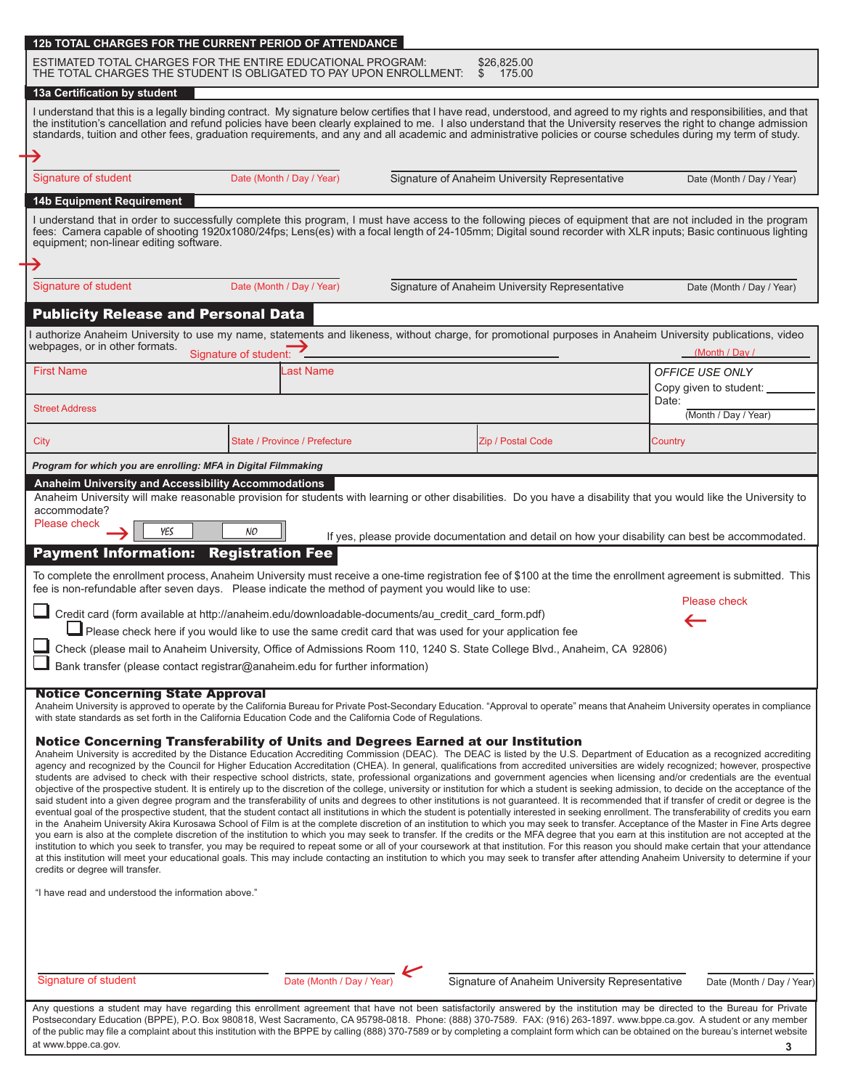|                                                                                                                                                                                                       |                                                                              | I understand that this is a legally binding contract. My signature below certifies that I have read, understood, and agreed to my rights and responsibilities, and that<br>the institution's cancellation and refund policies have been clearly explained to me. I also understand that the University reserves the right to change admission                                                                                                                                                                                                                                                                                                                                                                                                                                                                                                                                                                                                                                                                                                                                                                                                                                                                                                                                                                                                                                                                                                                                                                                                                                                                                                                                                                                                                                                                                            |                               |
|-------------------------------------------------------------------------------------------------------------------------------------------------------------------------------------------------------|------------------------------------------------------------------------------|------------------------------------------------------------------------------------------------------------------------------------------------------------------------------------------------------------------------------------------------------------------------------------------------------------------------------------------------------------------------------------------------------------------------------------------------------------------------------------------------------------------------------------------------------------------------------------------------------------------------------------------------------------------------------------------------------------------------------------------------------------------------------------------------------------------------------------------------------------------------------------------------------------------------------------------------------------------------------------------------------------------------------------------------------------------------------------------------------------------------------------------------------------------------------------------------------------------------------------------------------------------------------------------------------------------------------------------------------------------------------------------------------------------------------------------------------------------------------------------------------------------------------------------------------------------------------------------------------------------------------------------------------------------------------------------------------------------------------------------------------------------------------------------------------------------------------------------|-------------------------------|
|                                                                                                                                                                                                       |                                                                              | standards, tuition and other fees, graduation requirements, and any and all academic and administrative policies or course schedules during my term of study.                                                                                                                                                                                                                                                                                                                                                                                                                                                                                                                                                                                                                                                                                                                                                                                                                                                                                                                                                                                                                                                                                                                                                                                                                                                                                                                                                                                                                                                                                                                                                                                                                                                                            |                               |
|                                                                                                                                                                                                       |                                                                              |                                                                                                                                                                                                                                                                                                                                                                                                                                                                                                                                                                                                                                                                                                                                                                                                                                                                                                                                                                                                                                                                                                                                                                                                                                                                                                                                                                                                                                                                                                                                                                                                                                                                                                                                                                                                                                          |                               |
| Signature of student                                                                                                                                                                                  | Date (Month / Day / Year)                                                    | Signature of Anaheim University Representative                                                                                                                                                                                                                                                                                                                                                                                                                                                                                                                                                                                                                                                                                                                                                                                                                                                                                                                                                                                                                                                                                                                                                                                                                                                                                                                                                                                                                                                                                                                                                                                                                                                                                                                                                                                           | Date (Month / Day / Year)     |
| <b>14b Equipment Requirement</b>                                                                                                                                                                      |                                                                              |                                                                                                                                                                                                                                                                                                                                                                                                                                                                                                                                                                                                                                                                                                                                                                                                                                                                                                                                                                                                                                                                                                                                                                                                                                                                                                                                                                                                                                                                                                                                                                                                                                                                                                                                                                                                                                          |                               |
| equipment; non-linear editing software.                                                                                                                                                               |                                                                              | I understand that in order to successfully complete this program, I must have access to the following pieces of equipment that are not included in the program fees: Camera capable of shooting 1920x1080/24fps; Lens(es) with                                                                                                                                                                                                                                                                                                                                                                                                                                                                                                                                                                                                                                                                                                                                                                                                                                                                                                                                                                                                                                                                                                                                                                                                                                                                                                                                                                                                                                                                                                                                                                                                           |                               |
| Signature of student                                                                                                                                                                                  | Date (Month / Day / Year)                                                    | Signature of Anaheim University Representative                                                                                                                                                                                                                                                                                                                                                                                                                                                                                                                                                                                                                                                                                                                                                                                                                                                                                                                                                                                                                                                                                                                                                                                                                                                                                                                                                                                                                                                                                                                                                                                                                                                                                                                                                                                           | Date (Month / Day / Year)     |
|                                                                                                                                                                                                       |                                                                              |                                                                                                                                                                                                                                                                                                                                                                                                                                                                                                                                                                                                                                                                                                                                                                                                                                                                                                                                                                                                                                                                                                                                                                                                                                                                                                                                                                                                                                                                                                                                                                                                                                                                                                                                                                                                                                          |                               |
| <b>Publicity Release and Personal Data</b>                                                                                                                                                            |                                                                              |                                                                                                                                                                                                                                                                                                                                                                                                                                                                                                                                                                                                                                                                                                                                                                                                                                                                                                                                                                                                                                                                                                                                                                                                                                                                                                                                                                                                                                                                                                                                                                                                                                                                                                                                                                                                                                          |                               |
| webpages, or in other formats.                                                                                                                                                                        | Signature of student:                                                        | I authorize Anaheim University to use my name, statements and likeness, without charge, for promotional purposes in Anaheim University publications, video                                                                                                                                                                                                                                                                                                                                                                                                                                                                                                                                                                                                                                                                                                                                                                                                                                                                                                                                                                                                                                                                                                                                                                                                                                                                                                                                                                                                                                                                                                                                                                                                                                                                               | (Month / Day /                |
| <b>First Name</b>                                                                                                                                                                                     | Last Name                                                                    |                                                                                                                                                                                                                                                                                                                                                                                                                                                                                                                                                                                                                                                                                                                                                                                                                                                                                                                                                                                                                                                                                                                                                                                                                                                                                                                                                                                                                                                                                                                                                                                                                                                                                                                                                                                                                                          | <b>OFFICE USE ONLY</b>        |
|                                                                                                                                                                                                       |                                                                              |                                                                                                                                                                                                                                                                                                                                                                                                                                                                                                                                                                                                                                                                                                                                                                                                                                                                                                                                                                                                                                                                                                                                                                                                                                                                                                                                                                                                                                                                                                                                                                                                                                                                                                                                                                                                                                          | Copy given to student:        |
| <b>Street Address</b>                                                                                                                                                                                 |                                                                              |                                                                                                                                                                                                                                                                                                                                                                                                                                                                                                                                                                                                                                                                                                                                                                                                                                                                                                                                                                                                                                                                                                                                                                                                                                                                                                                                                                                                                                                                                                                                                                                                                                                                                                                                                                                                                                          | Date:<br>(Month / Day / Year) |
|                                                                                                                                                                                                       |                                                                              |                                                                                                                                                                                                                                                                                                                                                                                                                                                                                                                                                                                                                                                                                                                                                                                                                                                                                                                                                                                                                                                                                                                                                                                                                                                                                                                                                                                                                                                                                                                                                                                                                                                                                                                                                                                                                                          |                               |
| City                                                                                                                                                                                                  | State / Province / Prefecture                                                | Zip / Postal Code                                                                                                                                                                                                                                                                                                                                                                                                                                                                                                                                                                                                                                                                                                                                                                                                                                                                                                                                                                                                                                                                                                                                                                                                                                                                                                                                                                                                                                                                                                                                                                                                                                                                                                                                                                                                                        | Country                       |
| Program for which you are enrolling: MFA in Digital Filmmaking                                                                                                                                        |                                                                              |                                                                                                                                                                                                                                                                                                                                                                                                                                                                                                                                                                                                                                                                                                                                                                                                                                                                                                                                                                                                                                                                                                                                                                                                                                                                                                                                                                                                                                                                                                                                                                                                                                                                                                                                                                                                                                          |                               |
| fee is non-refundable after seven days. Please indicate the method of payment you would like to use:                                                                                                  | Bank transfer (please contact registrar@anaheim.edu for further information) | Credit card (form available at http://anaheim.edu/downloadable-documents/au_credit_card_form.pdf)<br>Please check here if you would like to use the same credit card that was used for your application fee<br>Check (please mail to Anaheim University, Office of Admissions Room 110, 1240 S. State College Blvd., Anaheim, CA 92806)                                                                                                                                                                                                                                                                                                                                                                                                                                                                                                                                                                                                                                                                                                                                                                                                                                                                                                                                                                                                                                                                                                                                                                                                                                                                                                                                                                                                                                                                                                  | Please check                  |
| <b>Notice Concerning State Approval</b>                                                                                                                                                               |                                                                              | Anaheim University is approved to operate by the California Bureau for Private Post-Secondary Education. "Approval to operate" means that Anaheim University operates in compliance<br>Notice Concerning Transferability of Units and Degrees Earned at our Institution<br>Anaheim University is accredited by the Distance Education Accrediting Commission (DEAC). The DEAC is listed by the U.S. Department of Education as a recognized accrediting<br>agency and recognized by the Council for Higher Education Accreditation (CHEA). In general, qualifications from accredited universities are widely recognized; however, prospective<br>students are advised to check with their respective school districts, state, professional organizations and government agencies when licensing and/or credentials are the eventual<br>objective of the prospective student. It is entirely up to the discretion of the college, university or institution for which a student is seeking admission, to decide on the acceptance of the<br>said student into a given degree program and the transferability of units and degrees to other institutions is not quaranteed. It is recommended that if transfer of credit or degree is the<br>eventual goal of the prospective student, that the student contact all institutions in which the student is potentially interested in seeking enrollment. The transferability of credits you earn<br>in the Anaheim University Akira Kurosawa School of Film is at the complete discretion of an institution to which you may seek to transfer. Acceptance of the Master in Fine Arts degree<br>you earn is also at the complete discretion of the institution to which you may seek to transfer. If the credits or the MFA degree that you earn at this institution are not accepted at the |                               |
| with state standards as set forth in the California Education Code and the California Code of Regulations.<br>credits or degree will transfer.<br>"I have read and understood the information above." |                                                                              | institution to which you seek to transfer, you may be required to repeat some or all of your coursework at that institution. For this reason you should make certain that your attendance<br>at this institution will meet your educational goals. This may include contacting an institution to which you may seek to transfer after attending Anaheim University to determine if your                                                                                                                                                                                                                                                                                                                                                                                                                                                                                                                                                                                                                                                                                                                                                                                                                                                                                                                                                                                                                                                                                                                                                                                                                                                                                                                                                                                                                                                  |                               |

Any questions a student may have regarding this enrollment agreement that have not been satisfactorily answered by the institution may be directed to the Bureau for Private Postsecondary Education (BPPE), P.O. Box 980818, West Sacramento, CA 95798-0818. Phone: (888) 370-7589. FAX: (916) 263-1897. www.bppe.ca.gov. A student or any member of the public may file a complaint about this institution with the BPPE by calling (888) 370-7589 or by completing a complaint form which can be obtained on the bureau's internet website at www.bppe.ca.gov. **3**